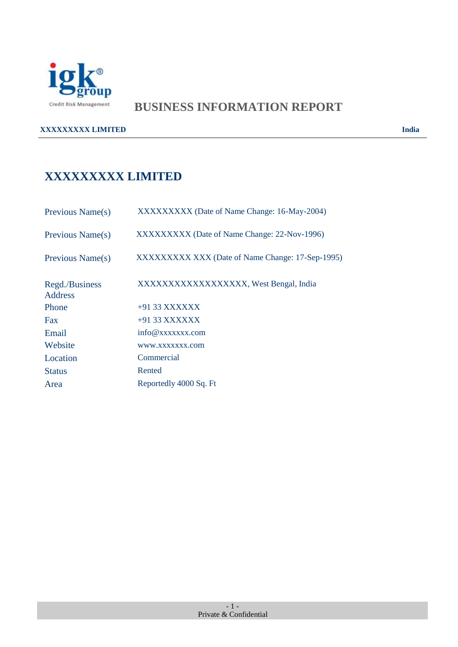

# **BUSINESS INFORMATION REPORT**

**XXXXXXXXX LIMITED** India

# **XXXXXXXXX LIMITED**

| Previous Name(s)                 | XXXXXXXXX (Date of Name Change: 16-May-2004)     |
|----------------------------------|--------------------------------------------------|
| Previous Name(s)                 | XXXXXXXXX (Date of Name Change: 22-Nov-1996)     |
| Previous Name(s)                 | XXXXXXXXXXXXX (Date of Name Change: 17-Sep-1995) |
| Regd./Business<br><b>Address</b> | XXXXXXXXXXXXXXXXX, West Bengal, India            |
| Phone                            | $+9133$ XXXXXX                                   |
| Fax                              | $+9133$ XXXXXX                                   |
| Email                            | info@xxxxxxx.com                                 |
| Website                          | WWW.XXXXXXX.com                                  |
| Location                         | Commercial                                       |
| <b>Status</b>                    | Rented                                           |
| Area                             | Reportedly 4000 Sq. Ft                           |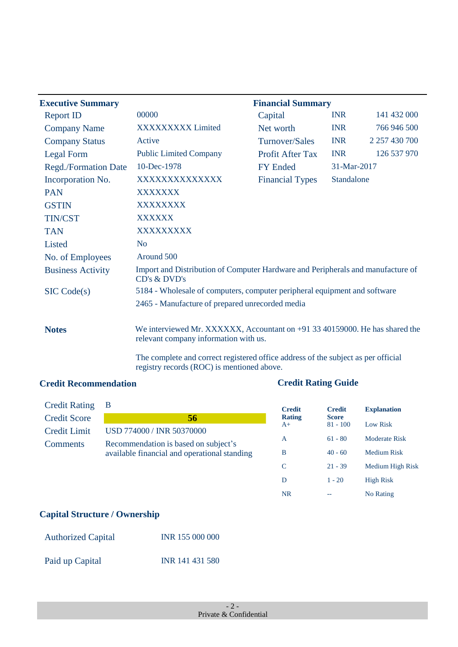| <b>Executive Summary</b>    |                                                                                                                      | <b>Financial Summary</b> |             |                     |
|-----------------------------|----------------------------------------------------------------------------------------------------------------------|--------------------------|-------------|---------------------|
| <b>Report ID</b>            | 00000                                                                                                                | Capital                  | <b>INR</b>  | 141 432 000         |
| <b>Company Name</b>         | XXXXXXXXX Limited                                                                                                    | Net worth                | <b>INR</b>  | 766 946 500         |
| <b>Company Status</b>       | Active                                                                                                               | <b>Turnover/Sales</b>    | <b>INR</b>  | 2 2 5 7 4 3 0 7 0 0 |
| Legal Form                  | <b>Public Limited Company</b>                                                                                        | <b>Profit After Tax</b>  | <b>INR</b>  | 126 537 970         |
| <b>Regd./Formation Date</b> | 10-Dec-1978                                                                                                          | <b>FY Ended</b>          | 31-Mar-2017 |                     |
| Incorporation No.           | XXXXXXXXXXXXX                                                                                                        | <b>Financial Types</b>   | Standalone  |                     |
| <b>PAN</b>                  | <b>XXXXXXX</b>                                                                                                       |                          |             |                     |
| <b>GSTIN</b>                | <b>XXXXXXXX</b>                                                                                                      |                          |             |                     |
| <b>TIN/CST</b>              | <b>XXXXXX</b>                                                                                                        |                          |             |                     |
| <b>TAN</b>                  | XXXXXXXXX                                                                                                            |                          |             |                     |
| Listed                      | N <sub>o</sub>                                                                                                       |                          |             |                     |
| No. of Employees            | Around 500                                                                                                           |                          |             |                     |
| <b>Business Activity</b>    | Import and Distribution of Computer Hardware and Peripherals and manufacture of<br>CD's & DVD's                      |                          |             |                     |
| SIC Code(s)                 | 5184 - Wholesale of computers, computer peripheral equipment and software                                            |                          |             |                     |
|                             | 2465 - Manufacture of prepared unrecorded media                                                                      |                          |             |                     |
| <b>Notes</b>                | We interviewed Mr. XXXXXX, Accountant on +91 33 40159000. He has shared the<br>relevant company information with us. |                          |             |                     |

The complete and correct registered office address of the subject as per official registry records (ROC) is mentioned above.

### **Credit Recommendation Credit Rating Guide**

| <b>Credit Rating</b> | В                                                                                    |
|----------------------|--------------------------------------------------------------------------------------|
| <b>Credit Score</b>  | 56                                                                                   |
| <b>Credit Limit</b>  | USD 774000 / INR 50370000                                                            |
| <b>Comments</b>      | Recommendation is based on subject's<br>available financial and operational standing |

| <b>Credit</b><br><b>Rating</b> | <b>Credit</b><br><b>Score</b> | <b>Explanation</b> |
|--------------------------------|-------------------------------|--------------------|
| $A+$                           | $81 - 100$                    | Low Risk           |
| A                              | $61 - 80$                     | Moderate Risk      |
| B                              | $40 - 60$                     | Medium Risk        |
| C                              | $21 - 39$                     | Medium High Risk   |
| D                              | $1 - 20$                      | <b>High Risk</b>   |
| NR                             |                               | No Rating          |

### **Capital Structure / Ownership**

| <b>Authorized Capital</b> | INR 155 000 000 |
|---------------------------|-----------------|
| Paid up Capital           | INR 141 431 580 |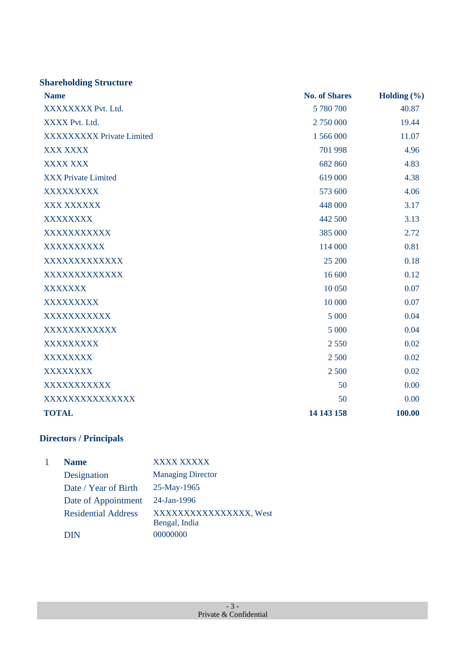| <b>Shareholding Structure</b>    |                      |                 |
|----------------------------------|----------------------|-----------------|
| <b>Name</b>                      | <b>No. of Shares</b> | Holding $(\% )$ |
| XXXXXXXX Pvt. Ltd.               | 5 780 700            | 40.87           |
| XXXX Pvt. Ltd.                   | 2 750 000            | 19.44           |
| <b>XXXXXXXXX Private Limited</b> | 1 566 000            | 11.07           |
| XXX XXXX                         | 701 998              | 4.96            |
| <b>XXXX XXX</b>                  | 682 860              | 4.83            |
| <b>XXX Private Limited</b>       | 619 000              | 4.38            |
| XXXXXXXXX                        | 573 600              | 4.06            |
| XXX XXXXXX                       | 448 000              | 3.17            |
| <b>XXXXXXXX</b>                  | 442 500              | 3.13            |
| XXXXXXXXXXX                      | 385 000              | 2.72            |
| XXXXXXXXXX                       | 114 000              | 0.81            |
| XXXXXXXXXXXXX                    | 25 200               | 0.18            |
| XXXXXXXXXXXXX                    | 16 600               | 0.12            |
| XXXXXXX                          | 10 050               | 0.07            |
| XXXXXXXXX                        | 10 000               | 0.07            |
| XXXXXXXXXXX                      | 5 000                | 0.04            |
| XXXXXXXXXXXX                     | 5 000                | 0.04            |
| XXXXXXXXX                        | 2 5 5 0              | 0.02            |
| <b>XXXXXXXX</b>                  | 2 500                | 0.02            |
| <b>XXXXXXXX</b>                  | 2 500                | 0.02            |
| XXXXXXXXXXX                      | 50                   | 0.00            |
| XXXXXXXXXXXXXXX                  | 50                   | 0.00            |
| <b>TOTAL</b>                     | 14 143 158           | 100.00          |

# **Directors / Principals**

| <b>Name</b>                | <b>XXXX XXXXX</b>                      |
|----------------------------|----------------------------------------|
| Designation                | <b>Managing Director</b>               |
| Date / Year of Birth       | 25-May-1965                            |
| Date of Appointment        | $24$ -Jan-1996                         |
| <b>Residential Address</b> | XXXXXXXXXXXXXXX, West<br>Bengal, India |
| <b>DIN</b>                 | 00000000                               |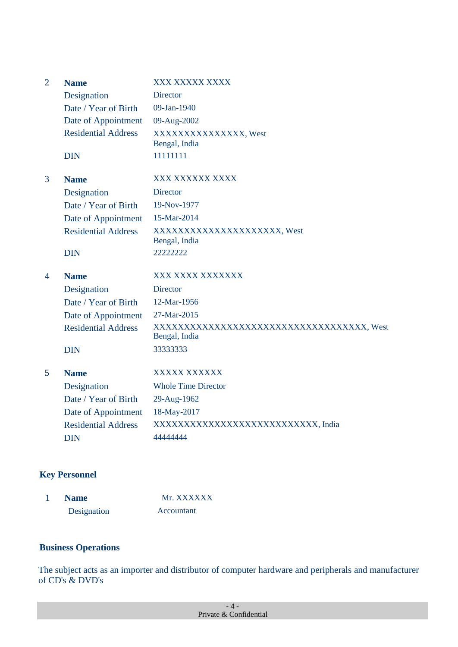| $\overline{2}$ | <b>Name</b><br>Designation<br>Date / Year of Birth<br>Date of Appointment<br><b>Residential Address</b><br><b>DIN</b> | XXX XXXXX XXXX<br>Director<br>09-Jan-1940<br>09-Aug-2002<br>XXXXXXXXXXXXXX, West<br>Bengal, India<br>11111111                                |
|----------------|-----------------------------------------------------------------------------------------------------------------------|----------------------------------------------------------------------------------------------------------------------------------------------|
| 3              | <b>Name</b><br>Designation<br>Date / Year of Birth<br>Date of Appointment<br><b>Residential Address</b><br><b>DIN</b> | XXX XXXXXX XXXX<br>Director<br>19-Nov-1977<br>15-Mar-2014<br>XXXXXXXXXXXXXXXXXXXX, West<br>Bengal, India<br>22222222                         |
| 4              | <b>Name</b><br>Designation<br>Date / Year of Birth<br>Date of Appointment<br><b>Residential Address</b><br><b>DIN</b> | XXX XXXX XXXXXXX<br><b>Director</b><br>12-Mar-1956<br>27-Mar-2015<br>XXXXXXXXXXXXXXXXXXXXXXXXXXXXXXXXXXXX, West<br>Bengal, India<br>33333333 |
| 5              | <b>Name</b><br>Designation<br>Date / Year of Birth<br>Date of Appointment<br><b>Residential Address</b><br><b>DIN</b> | XXXXX XXXXXX<br><b>Whole Time Director</b><br>29-Aug-1962<br>18-May-2017<br>XXXXXXXXXXXXXXXXXXXXXXXXXX, India<br>44444444                    |

### **Key Personnel**

| <b>Name</b> | Mr. XXXXXX |
|-------------|------------|
| Designation | Accountant |

### **Business Operations**

The subject acts as an importer and distributor of computer hardware and peripherals and manufacturer of CD's & DVD's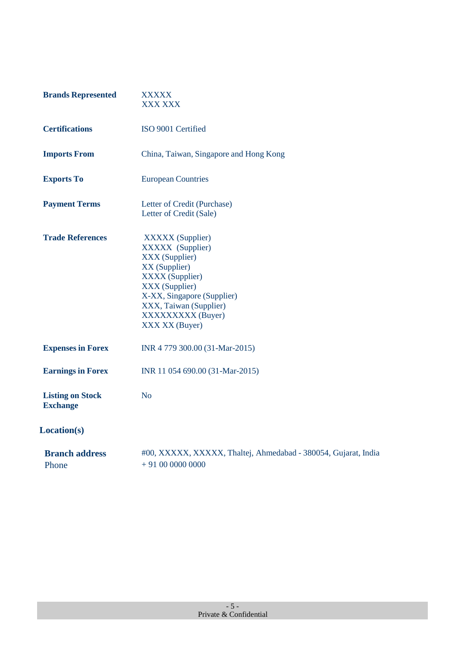| <b>Brands Represented</b>                  | XXXXX<br><b>XXX XXX</b>                                                                                                                                                                                                   |
|--------------------------------------------|---------------------------------------------------------------------------------------------------------------------------------------------------------------------------------------------------------------------------|
| <b>Certifications</b>                      | ISO 9001 Certified                                                                                                                                                                                                        |
| <b>Imports From</b>                        | China, Taiwan, Singapore and Hong Kong                                                                                                                                                                                    |
| <b>Exports To</b>                          | <b>European Countries</b>                                                                                                                                                                                                 |
| <b>Payment Terms</b>                       | Letter of Credit (Purchase)<br>Letter of Credit (Sale)                                                                                                                                                                    |
| <b>Trade References</b>                    | <b>XXXXX</b> (Supplier)<br>XXXXX (Supplier)<br>XXX (Supplier)<br>XX (Supplier)<br><b>XXXX</b> (Supplier)<br>XXX (Supplier)<br>X-XX, Singapore (Supplier)<br>XXX, Taiwan (Supplier)<br>XXXXXXXXX (Buyer)<br>XXX XX (Buyer) |
| <b>Expenses in Forex</b>                   | INR 4 779 300.00 (31-Mar-2015)                                                                                                                                                                                            |
| <b>Earnings in Forex</b>                   | INR 11 054 690.00 (31-Mar-2015)                                                                                                                                                                                           |
| <b>Listing on Stock</b><br><b>Exchange</b> | N <sub>o</sub>                                                                                                                                                                                                            |
| Location(s)                                |                                                                                                                                                                                                                           |
| <b>Branch address</b><br>Phone             | #00, XXXXX, XXXXX, Thaltej, Ahmedabad - 380054, Gujarat, India<br>$+91000000000$                                                                                                                                          |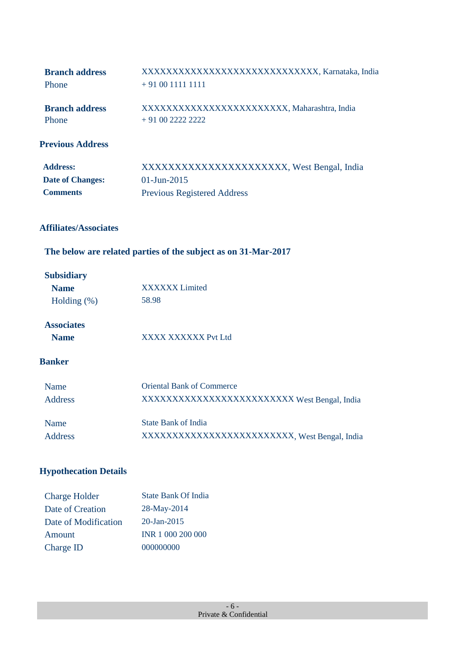| <b>Branch address</b>   | XXXXXXXXXXXXXXXXXXXXXXXXXXXXX, Karnataka, India |
|-------------------------|-------------------------------------------------|
| Phone                   | $+910011111111$                                 |
| <b>Branch address</b>   | XXXXXXXXXXXXXXXXXXXXXXX, Maharashtra, India     |
| Phone                   | $+91002222222$                                  |
| <b>Previous Address</b> |                                                 |

| <b>Address:</b>         | XXXXXXXXXXXXXXXXXXXXXX, West Bengal, India |
|-------------------------|--------------------------------------------|
| <b>Date of Changes:</b> | $01$ -Jun-2015                             |
| <b>Comments</b>         | <b>Previous Registered Address</b>         |

### **Affiliates/Associates**

## **The below are related parties of the subject as on 31-Mar-2017**

### **Subsidiary**

| <b>Name</b>       | <b>XXXXXX</b> Limited                        |
|-------------------|----------------------------------------------|
| Holding $(\%)$    | 58.98                                        |
| <b>Associates</b> |                                              |
| <b>Name</b>       | XXXX XXXXXX Pvt Ltd                          |
| <b>Banker</b>     |                                              |
| Name              | <b>Oriental Bank of Commerce</b>             |
| <b>Address</b>    | XXXXXXXXXXXXXXXXXXXXXXXX West Bengal, India  |
| Name              | <b>State Bank of India</b>                   |
| Address           | XXXXXXXXXXXXXXXXXXXXXXXX, West Bengal, India |

## **Hypothecation Details**

| <b>Charge Holder</b> | <b>State Bank Of India</b> |
|----------------------|----------------------------|
| Date of Creation     | 28-May-2014                |
| Date of Modification | $20 - Jan - 2015$          |
| Amount               | INR 1 000 200 000          |
| Charge ID            | 000000000                  |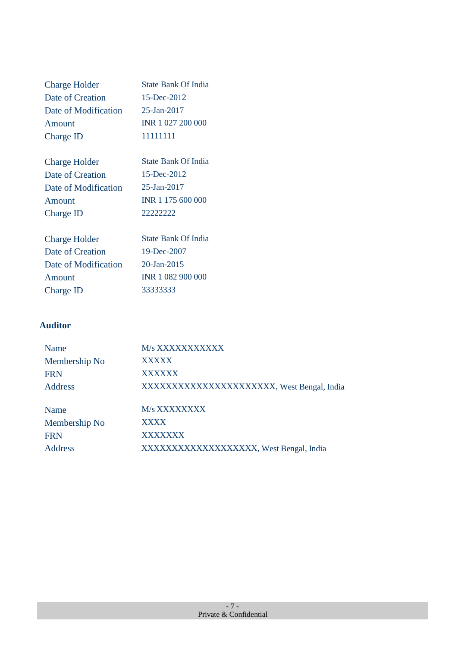| <b>Charge Holder</b> | State Bank Of India |
|----------------------|---------------------|
| Date of Creation     | 15-Dec-2012         |
| Date of Modification | $25 - Jan - 2017$   |
| Amount               | INR 1 027 200 000   |
| Charge ID            | 11111111            |
|                      |                     |
| $Charaa$ Holder      | State Bank Of India |

| <b>Charge Holder</b> | <b>State Bank Of India</b> |
|----------------------|----------------------------|
| Date of Creation     | 15-Dec-2012                |
| Date of Modification | 25-Jan-2017                |
| Amount               | INR 1 175 600 000          |
| Charge ID            | 22222222                   |

| <b>State Bank Of India</b> |
|----------------------------|
| 19-Dec-2007                |
| 20-Jan-2015                |
| INR 1 082 900 000          |
| 33333333                   |
|                            |

### **Auditor**

| M/s XXXXXXXXXXX                           |
|-------------------------------------------|
| <b>XXXXX</b>                              |
| XXXXXX                                    |
| XXXXXXXXXXXXXXXXXXXXX, West Bengal, India |
| M/s XXXXXXXX                              |
| <b>XXXX</b>                               |
| <b>XXXXXXX</b>                            |
| XXXXXXXXXXXXXXXXXX, West Bengal, India    |
|                                           |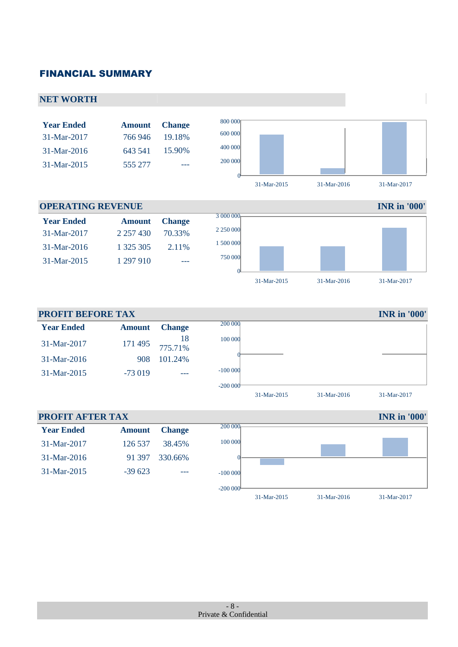### FINANCIAL SUMMARY

### **NET WORTH INFORMATION Year Ended Amount Change**  800 000 31-Mar-2017 766 946 19.18% <sup>600</sup> <sup>000</sup> 31-Mar-2016 643 541 15.90% <sup>400</sup> <sup>000</sup> 31-Mar-2015 555 277 --- 200 000  $\boldsymbol{0}$ 31-Mar-2015 31-Mar-2016 31-Mar-2017

### **Year Ended Amount Change** 31-Mar-2017 2 257 430 70.33% 31-Mar-2016 1 325 305 2.11% 3 000 000 2 250 000 1 500 000

31-Mar-2015 1 297 910 ---



31-Mar-2015 31-Mar-2016 31-Mar-2017

#### **PROFIT BEFORE TAX** IN RESOLUTION **IN R** in '000' **Year Ended Amount Change** 31-Mar-2017 171 495 775.71% 31-Mar-2016 908 101.24% 31-Mar-2015 -73 019 ---200 000 100 000  $\boldsymbol{0}$ -100 000 -200 000

**PROFIT AFTER TAX** INR **in** '000' **Year Ended Amount Change** 31-Mar-2017 126 537 38.45% 31-Mar-2016 91 397 330.66% 31-Mar-2015 -39 623 --- 200 000<sub>p</sub> 100 000  $\sqrt{2}$ -100 000  $-200000$ 31-Mar-2015 31-Mar-2016 31-Mar-2017

- 8 -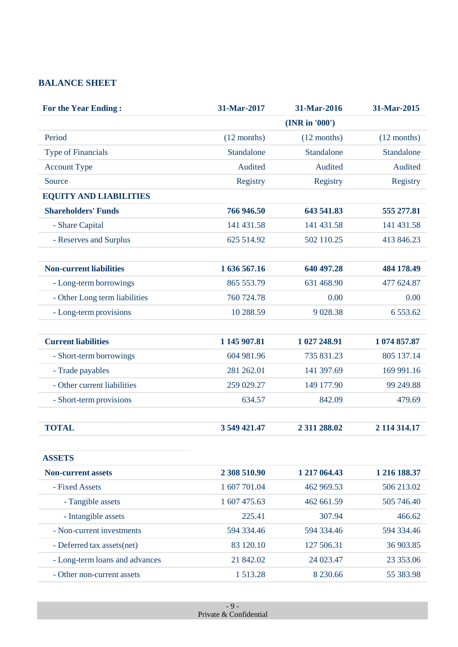### **BALANCE SHEET**

| <b>For the Year Ending:</b>    | 31-Mar-2017   | 31-Mar-2016   | 31-Mar-2015   |
|--------------------------------|---------------|---------------|---------------|
|                                |               | (NR in '000') |               |
| Period                         | $(12$ months) | $(12$ months) | $(12$ months) |
| <b>Type of Financials</b>      | Standalone    | Standalone    | Standalone    |
| <b>Account Type</b>            | Audited       | Audited       | Audited       |
| Source                         | Registry      | Registry      | Registry      |
| <b>EQUITY AND LIABILITIES</b>  |               |               |               |
| <b>Shareholders' Funds</b>     | 766 946.50    | 643 541.83    | 555 277.81    |
| - Share Capital                | 141 431.58    | 141 431.58    | 141 431.58    |
| - Reserves and Surplus         | 625 514.92    | 502 110.25    | 413 846.23    |
| <b>Non-current liabilities</b> | 1 636 567.16  | 640 497.28    | 484 178.49    |
| - Long-term borrowings         | 865 553.79    | 631 468.90    | 477 624.87    |
| - Other Long term liabilities  | 760 724.78    | 0.00          | 0.00          |
| - Long-term provisions         | 10 288.59     | 9 0 28.38     | 6 5 5 3 . 6 2 |
| <b>Current liabilities</b>     | 1 145 907.81  | 1 027 248.91  | 1 074 857.87  |
| - Short-term borrowings        | 604 981.96    | 735 831.23    | 805 137.14    |
| - Trade payables               | 281 262.01    | 141 397.69    | 169 991.16    |
| - Other current liabilities    | 259 029.27    | 149 177.90    | 99 249.88     |
| - Short-term provisions        | 634.57        | 842.09        | 479.69        |
| <b>TOTAL</b>                   | 3 549 421.47  | 2 311 288.02  | 2 114 314.17  |
| <b>ASSETS</b>                  |               |               |               |
| <b>Non-current assets</b>      | 2 308 510.90  | 1 217 064.43  | 1 216 188.37  |
| - Fixed Assets                 | 1 607 701.04  | 462 969.53    | 506 213.02    |
| - Tangible assets              | 1 607 475.63  | 462 661.59    | 505 746.40    |
| - Intangible assets            | 225.41        | 307.94        | 466.62        |
| - Non-current investments      | 594 334.46    | 594 334.46    | 594 334.46    |
| - Deferred tax assets(net)     | 83 120.10     | 127 506.31    | 36 903.85     |
| - Long-term loans and advances | 21 842.02     | 24 023.47     | 23 353.06     |
| - Other non-current assets     | 1513.28       | 8 2 3 0.66    | 55 383.98     |
|                                |               |               |               |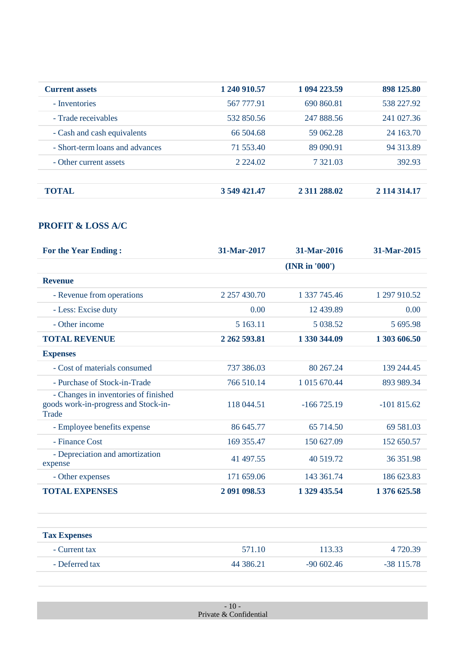| <b>Current assets</b>           | 1 240 910.57 | 1 094 223.59 | 898 125.80   |
|---------------------------------|--------------|--------------|--------------|
| - Inventories                   | 567 777.91   | 690 860.81   | 538 227.92   |
| - Trade receivables             | 532 850.56   | 247 888.56   | 241 027.36   |
| - Cash and cash equivalents     | 66 504.68    | 59 062.28    | 24 163.70    |
| - Short-term loans and advances | 71 553.40    | 89 090.91    | 94 313.89    |
| - Other current assets          | 2 2 2 4 0 2  | 7 321.03     | 392.93       |
| TOTAL.                          | 3 549 421.47 | 2 311 288.02 | 2 114 314.17 |

### **PROFIT & LOSS A/C**

| <b>For the Year Ending:</b>                                                           | 31-Mar-2017         | 31-Mar-2016   | 31-Mar-2015  |
|---------------------------------------------------------------------------------------|---------------------|---------------|--------------|
|                                                                                       |                     | (NR in '000') |              |
| <b>Revenue</b>                                                                        |                     |               |              |
| - Revenue from operations                                                             | 2 2 5 7 4 3 0 . 7 0 | 1 337 745.46  | 1 297 910.52 |
| - Less: Excise duty                                                                   | 0.00                | 12 439.89     | 0.00         |
| - Other income                                                                        | 5 163.11            | 5 0 38.52     | 5 695.98     |
| <b>TOTAL REVENUE</b>                                                                  | 2 2 6 2 5 9 3 .8 1  | 1 330 344,09  | 1 303 606.50 |
| <b>Expenses</b>                                                                       |                     |               |              |
| - Cost of materials consumed                                                          | 737 386.03          | 80 267.24     | 139 244.45   |
| - Purchase of Stock-in-Trade                                                          | 766 510.14          | 1 015 670.44  | 893 989.34   |
| - Changes in inventories of finished<br>goods work-in-progress and Stock-in-<br>Trade | 118 044.51          | $-166725.19$  | $-101815.62$ |
| - Employee benefits expense                                                           | 86 645.77           | 65 714.50     | 69 581.03    |
| - Finance Cost                                                                        | 169 355.47          | 150 627.09    | 152 650.57   |
| - Depreciation and amortization<br>expense                                            | 41 497.55           | 40 519.72     | 36 351.98    |
| - Other expenses                                                                      | 171 659.06          | 143 361.74    | 186 623.83   |
| <b>TOTAL EXPENSES</b>                                                                 | 2 091 098.53        | 1 329 435.54  | 1 376 625.58 |

| <b>Tax Expenses</b> |           |               |              |
|---------------------|-----------|---------------|--------------|
| - Current tax       | 571.10    | 113.33        | 4 7 2 0 3 9  |
| - Deferred tax      | 44 386.21 | $-90\,602.46$ | $-38$ 115.78 |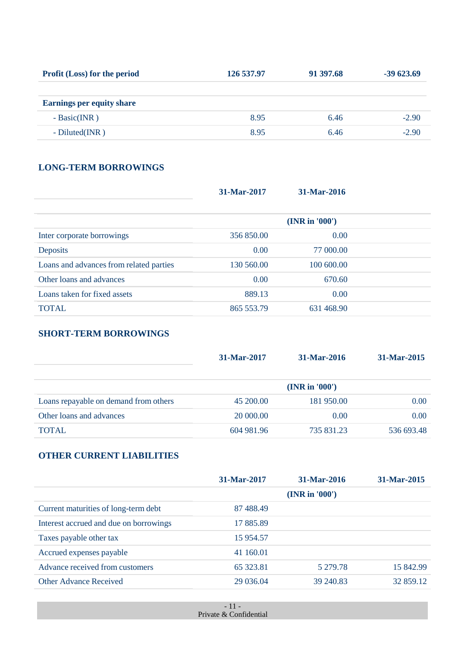| <b>Profit (Loss) for the period</b> | 126 537.97 | 91 397.68 | $-39623.69$ |
|-------------------------------------|------------|-----------|-------------|
|                                     |            |           |             |
| <b>Earnings per equity share</b>    |            |           |             |
| $- Basic(INR)$                      | 8.95       | 6.46      | $-2.90$     |
| $-Diluted(NR)$                      | 8.95       | 6.46      | $-2.90$     |

### **LONG-TERM BORROWINGS**

| 31-Mar-2017 | 31-Mar-2016   |  |
|-------------|---------------|--|
|             | (NR in '000') |  |
| 356 850.00  | 0.00          |  |
| 0.00        | 77 000.00     |  |
| 130 560.00  | 100 600.00    |  |
| 0.00        | 670.60        |  |
| 889.13      | 0.00          |  |
| 865 553.79  | 631 468.90    |  |
|             |               |  |

### **SHORT-TERM BORROWINGS**

|                                       | 31-Mar-2017 | 31-Mar-2016   | 31-Mar-2015 |
|---------------------------------------|-------------|---------------|-------------|
|                                       |             | (NR in '000') |             |
| Loans repayable on demand from others | 45 200.00   | 181 950.00    | 0.00        |
| Other loans and advances              | 20 000.00   | 0.00          | 0.00        |
| <b>TOTAL</b>                          | 604 981.96  | 735 831.23    | 536 693.48  |

### **OTHER CURRENT LIABILITIES**

|                                        | 31-Mar-2017 | 31-Mar-2016   | 31-Mar-2015 |
|----------------------------------------|-------------|---------------|-------------|
|                                        |             | (NR in '000') |             |
| Current maturities of long-term debt   | 87 488.49   |               |             |
| Interest accrued and due on borrowings | 17 885.89   |               |             |
| Taxes payable other tax                | 15 954.57   |               |             |
| Accrued expenses payable               | 41 160.01   |               |             |
| Advance received from customers        | 65 323.81   | 5 279.78      | 15 842.99   |
| <b>Other Advance Received</b>          | 29 036.04   | 39 240.83     | 32 859.12   |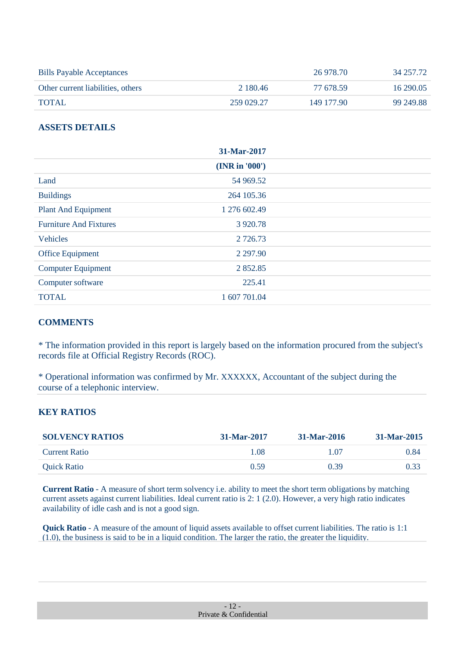| <b>Bills Payable Acceptances</b>  |            | 26 978.70  | 34 257.72 |
|-----------------------------------|------------|------------|-----------|
| Other current liabilities, others | 2 180.46   | 77 678.59  | 16 290.05 |
| TOTAL                             | 259 029.27 | 149 177.90 | 99 249.88 |

### **ASSETS DETAILS**

|                               | 31-Mar-2017   |  |
|-------------------------------|---------------|--|
|                               | (NR in '000') |  |
| Land                          | 54 969.52     |  |
| <b>Buildings</b>              | 264 105.36    |  |
| Plant And Equipment           | 1 276 602.49  |  |
| <b>Furniture And Fixtures</b> | 3 9 20.78     |  |
| <b>Vehicles</b>               | 2 7 2 6 .73   |  |
| Office Equipment              | 2 2 9 7 . 9 0 |  |
| <b>Computer Equipment</b>     | 2 8 5 2 . 8 5 |  |
| Computer software             | 225.41        |  |
| <b>TOTAL</b>                  | 1 607 701.04  |  |

### **COMMENTS**

\* The information provided in this report is largely based on the information procured from the subject's records file at Official Registry Records (ROC).

\* Operational information was confirmed by Mr. XXXXXX, Accountant of the subject during the course of a telephonic interview.

### **KEY RATIOS**

| <b>SOLVENCY RATIOS</b> | 31-Mar-2017 | 31-Mar-2016 | 31-Mar-2015 |
|------------------------|-------------|-------------|-------------|
| Current Ratio          | 1.08        | 1.07        | 0.84        |
| Quick Ratio            | 0.59        | 0.39        | 0.33        |

**Current Ratio** - A measure of short term solvency i.e. ability to meet the short term obligations by matching current assets against current liabilities. Ideal current ratio is 2: 1 (2.0). However, a very high ratio indicates availability of idle cash and is not a good sign.

**Quick Ratio** - A measure of the amount of liquid assets available to offset current liabilities. The ratio is 1:1 (1.0), the business is said to be in a liquid condition. The larger the ratio, the greater the liquidity.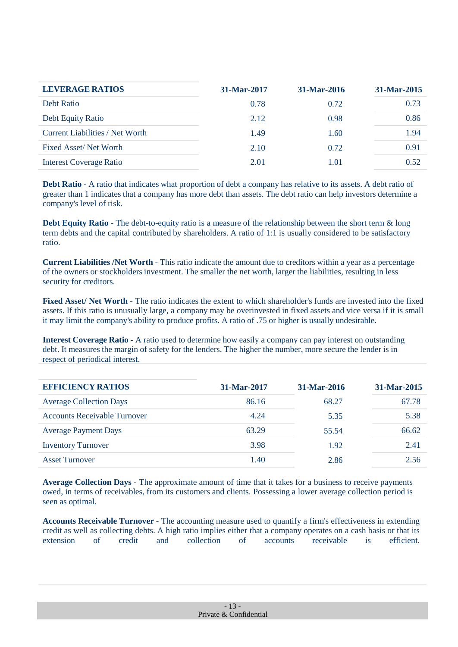| <b>LEVERAGE RATIOS</b>                 | 31-Mar-2017 | 31-Mar-2016 | 31-Mar-2015 |
|----------------------------------------|-------------|-------------|-------------|
| Debt Ratio                             | 0.78        | 0.72        | 0.73        |
| Debt Equity Ratio                      | 2.12        | 0.98        | 0.86        |
| <b>Current Liabilities / Net Worth</b> | 1.49        | 1.60        | 1.94        |
| <b>Fixed Asset/Net Worth</b>           | 2.10        | 0.72        | 0.91        |
| <b>Interest Coverage Ratio</b>         | 2.01        | 1.01        | 0.52        |

**Debt Ratio** - A ratio that indicates what proportion of debt a company has relative to its assets. A debt ratio of greater than 1 indicates that a company has more debt than assets. The debt ratio can help investors determine a company's level of risk.

**Debt Equity Ratio** - The debt-to-equity ratio is a measure of the relationship between the short term  $\&$  long term debts and the capital contributed by shareholders. A ratio of 1:1 is usually considered to be satisfactory ratio.

**Current Liabilities /Net Worth** - This ratio indicate the amount due to creditors within a year as a percentage of the owners or stockholders investment. The smaller the net worth, larger the liabilities, resulting in less security for creditors.

**Fixed Asset/ Net Worth** - The ratio indicates the extent to which shareholder's funds are invested into the fixed assets. If this ratio is unusually large, a company may be overinvested in fixed assets and vice versa if it is small it may limit the company's ability to produce profits. A ratio of .75 or higher is usually undesirable.

**Interest Coverage Ratio** - A ratio used to determine how easily a company can pay interest on outstanding debt. It measures the margin of safety for the lenders. The higher the number, more secure the lender is in respect of periodical interest.

| <b>EFFICIENCY RATIOS</b>            | 31-Mar-2017 | 31-Mar-2016 | 31-Mar-2015 |
|-------------------------------------|-------------|-------------|-------------|
| <b>Average Collection Days</b>      | 86.16       | 68.27       | 67.78       |
| <b>Accounts Receivable Turnover</b> | 4.24        | 5.35        | 5.38        |
| <b>Average Payment Days</b>         | 63.29       | 55.54       | 66.62       |
| <b>Inventory Turnover</b>           | 3.98        | 1.92        | 2.41        |
| <b>Asset Turnover</b>               | 1.40        | 2.86        | 2.56        |

**Average Collection Days** - The approximate amount of time that it takes for a business to receive payments owed, in terms of receivables, from its customers and clients. Possessing a lower average collection period is seen as optimal.

**Accounts Receivable Turnover** - The accounting measure used to quantify a firm's effectiveness in extending credit as well as collecting debts. A high ratio implies either that a company operates on a cash basis or that its extension of credit and collection of accounts receivable is efficient.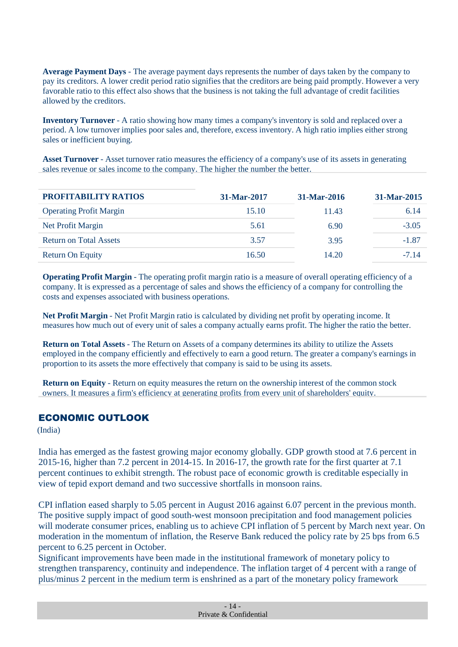**Average Payment Days** - The average payment days represents the number of days taken by the company to pay its creditors. A lower credit period ratio signifies that the creditors are being paid promptly. However a very favorable ratio to this effect also shows that the business is not taking the full advantage of credit facilities allowed by the creditors.

**Inventory Turnover** - A ratio showing how many times a company's inventory is sold and replaced over a period. A low turnover implies poor sales and, therefore, excess inventory. A high ratio implies either strong sales or inefficient buying.

**Asset Turnover** - Asset turnover ratio measures the efficiency of a company's use of its assets in generating sales revenue or sales income to the company. The higher the number the better.

| <b>PROFITABILITY RATIOS</b>    | 31-Mar-2017 | 31-Mar-2016 | 31-Mar-2015 |
|--------------------------------|-------------|-------------|-------------|
| <b>Operating Profit Margin</b> | 15.10       | 11.43       | 6.14        |
| Net Profit Margin              | 5.61        | 6.90        | $-3.05$     |
| <b>Return on Total Assets</b>  | 3.57        | 3.95        | $-1.87$     |
| Return On Equity               | 16.50       | 14.20       | $-7.14$     |

**Operating Profit Margin** - The operating profit margin ratio is a measure of overall operating efficiency of a company. It is expressed as a percentage of sales and shows the efficiency of a company for controlling the costs and expenses associated with business operations.

**Net Profit Margin** - Net Profit Margin ratio is calculated by dividing net profit by operating income. It measures how much out of every unit of sales a company actually earns profit. The higher the ratio the better.

**Return on Total Assets** - The Return on Assets of a company determines its ability to utilize the Assets employed in the company efficiently and effectively to earn a good return. The greater a company's earnings in proportion to its assets the more effectively that company is said to be using its assets.

**Return on Equity** - Return on equity measures the return on the ownership interest of the common stock owners. It measures a firm's efficiency at generating profits from every unit of shareholders' equity.

### ECONOMIC OUTLOOK

(India)

India has emerged as the fastest growing major economy globally. GDP growth stood at 7.6 percent in 2015-16, higher than 7.2 percent in 2014-15. In 2016-17, the growth rate for the first quarter at 7.1 percent continues to exhibit strength. The robust pace of economic growth is creditable especially in view of tepid export demand and two successive shortfalls in monsoon rains.

CPI inflation eased sharply to 5.05 percent in August 2016 against 6.07 percent in the previous month. The positive supply impact of good south-west monsoon precipitation and food management policies will moderate consumer prices, enabling us to achieve CPI inflation of 5 percent by March next year. On moderation in the momentum of inflation, the Reserve Bank reduced the policy rate by 25 bps from 6.5 percent to 6.25 percent in October.

Significant improvements have been made in the institutional framework of monetary policy to strengthen transparency, continuity and independence. The inflation target of 4 percent with a range of plus/minus 2 percent in the medium term is enshrined as a part of the monetary policy framework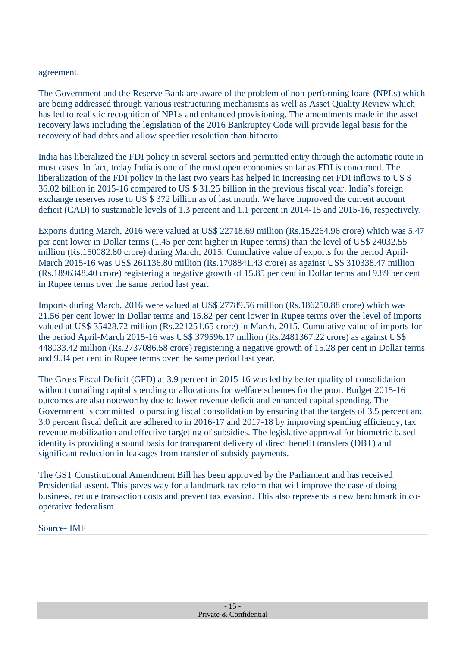### agreement.

The Government and the Reserve Bank are aware of the problem of non-performing loans (NPLs) which are being addressed through various restructuring mechanisms as well as Asset Quality Review which has led to realistic recognition of NPLs and enhanced provisioning. The amendments made in the asset recovery laws including the legislation of the 2016 Bankruptcy Code will provide legal basis for the recovery of bad debts and allow speedier resolution than hitherto.

India has liberalized the FDI policy in several sectors and permitted entry through the automatic route in most cases. In fact, today India is one of the most open economies so far as FDI is concerned. The liberalization of the FDI policy in the last two years has helped in increasing net FDI inflows to US \$ 36.02 billion in 2015-16 compared to US \$ 31.25 billion in the previous fiscal year. India's foreign exchange reserves rose to US \$ 372 billion as of last month. We have improved the current account deficit (CAD) to sustainable levels of 1.3 percent and 1.1 percent in 2014-15 and 2015-16, respectively.

Exports during March, 2016 were valued at US\$ 22718.69 million (Rs.152264.96 crore) which was 5.47 per cent lower in Dollar terms (1.45 per cent higher in Rupee terms) than the level of US\$ 24032.55 million (Rs.150082.80 crore) during March, 2015. Cumulative value of exports for the period April-March 2015-16 was US\$ 261136.80 million (Rs.1708841.43 crore) as against US\$ 310338.47 million (Rs.1896348.40 crore) registering a negative growth of 15.85 per cent in Dollar terms and 9.89 per cent in Rupee terms over the same period last year.

Imports during March, 2016 were valued at US\$ 27789.56 million (Rs.186250.88 crore) which was 21.56 per cent lower in Dollar terms and 15.82 per cent lower in Rupee terms over the level of imports valued at US\$ 35428.72 million (Rs.221251.65 crore) in March, 2015. Cumulative value of imports for the period April-March 2015-16 was US\$ 379596.17 million (Rs.2481367.22 crore) as against US\$ 448033.42 million (Rs.2737086.58 crore) registering a negative growth of 15.28 per cent in Dollar terms and 9.34 per cent in Rupee terms over the same period last year.

The Gross Fiscal Deficit (GFD) at 3.9 percent in 2015-16 was led by better quality of consolidation without curtailing capital spending or allocations for welfare schemes for the poor. Budget 2015-16 outcomes are also noteworthy due to lower revenue deficit and enhanced capital spending. The Government is committed to pursuing fiscal consolidation by ensuring that the targets of 3.5 percent and 3.0 percent fiscal deficit are adhered to in 2016-17 and 2017-18 by improving spending efficiency, tax revenue mobilization and effective targeting of subsidies. The legislative approval for biometric based identity is providing a sound basis for transparent delivery of direct benefit transfers (DBT) and significant reduction in leakages from transfer of subsidy payments.

The GST Constitutional Amendment Bill has been approved by the Parliament and has received Presidential assent. This paves way for a landmark tax reform that will improve the ease of doing business, reduce transaction costs and prevent tax evasion. This also represents a new benchmark in cooperative federalism.

Source- IMF